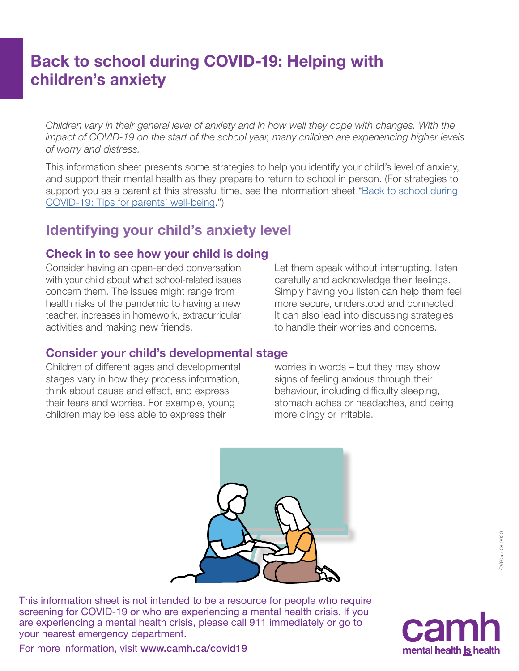# Back to school during COVID-19: Helping with children's anxiety

*Children vary in their general level of anxiety and in how well they cope with changes. With the impact of COVID-19 on the start of the school year, many children are experiencing higher levels of worry and distress.*

This information sheet presents some strategies to help you identify your child's level of anxiety, and support their mental health as they prepare to return to school in person. (For strategies to support you as a parent at this stressful time, see the information sheet ["Back to school during](https://www.camh.ca/-/media/files/camh_covid19_infosheet-backtoschool-parents-wellbeing-pdf.pdf)  [COVID-19: Tips for parents' well-being."\)](https://www.camh.ca/-/media/files/camh_covid19_infosheet-backtoschool-parents-wellbeing-pdf.pdf)

### Identifying your child's anxiety level

#### Check in to see how your child is doing

Consider having an open-ended conversation with your child about what school-related issues concern them. The issues might range from health risks of the pandemic to having a new teacher, increases in homework, extracurricular activities and making new friends.

Let them speak without interrupting, listen carefully and acknowledge their feelings. Simply having you listen can help them feel more secure, understood and connected. It can also lead into discussing strategies to handle their worries and concerns.

#### Consider your child's developmental stage

Children of different ages and developmental stages vary in how they process information, think about cause and effect, and express their fears and worries. For example, young children may be less able to express their

worries in words – but they may show signs of feeling anxious through their behaviour, including difficulty sleeping, stomach aches or headaches, and being more clingy or irritable.



This information sheet is not intended to be a resource for people who require screening for COVID-19 or who are experiencing a mental health crisis. If you are experiencing a mental health crisis, please call 911 immediately or go to your nearest emergency department.



For more information, visit [www.camh.ca/covid19](http://www.camh.ca/covid19)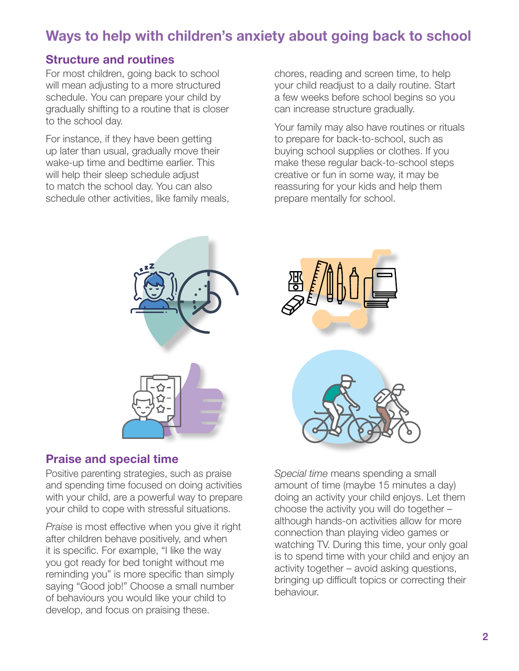## Ways to help with children's anxiety about going back to school

#### Structure and routines

For most children, going back to school will mean adjusting to a more structured schedule. You can prepare your child by gradually shifting to a routine that is closer to the school day.

For instance, if they have been getting up later than usual, gradually move their wake-up time and bedtime earlier. This will help their sleep schedule adjust to match the school day. You can also schedule other activities, like family meals, chores, reading and screen time, to help your child readjust to a daily routine. Start a few weeks before school begins so you can increase structure gradually.

Your family may also have routines or rituals to prepare for back-to-school, such as buying school supplies or clothes. If you make these regular back-to-school steps creative or fun in some way, it may be reassuring for your kids and help them prepare mentally for school.





#### Praise and special time

Positive parenting strategies, such as praise and spending time focused on doing activities with your child, are a powerful way to prepare your child to cope with stressful situations.

*Praise* is most effective when you give it right after children behave positively, and when it is specific. For example, "I like the way you got ready for bed tonight without me reminding you" is more specific than simply saying "Good job!" Choose a small number of behaviours you would like your child to develop, and focus on praising these.

*Special time* means spending a small amount of time (maybe 15 minutes a day) doing an activity your child enjoys. Let them choose the activity you will do together – although hands-on activities allow for more connection than playing video games or watching TV. During this time, your only goal is to spend time with your child and enjoy an activity together – avoid asking questions, bringing up difficult topics or correcting their behaviour.